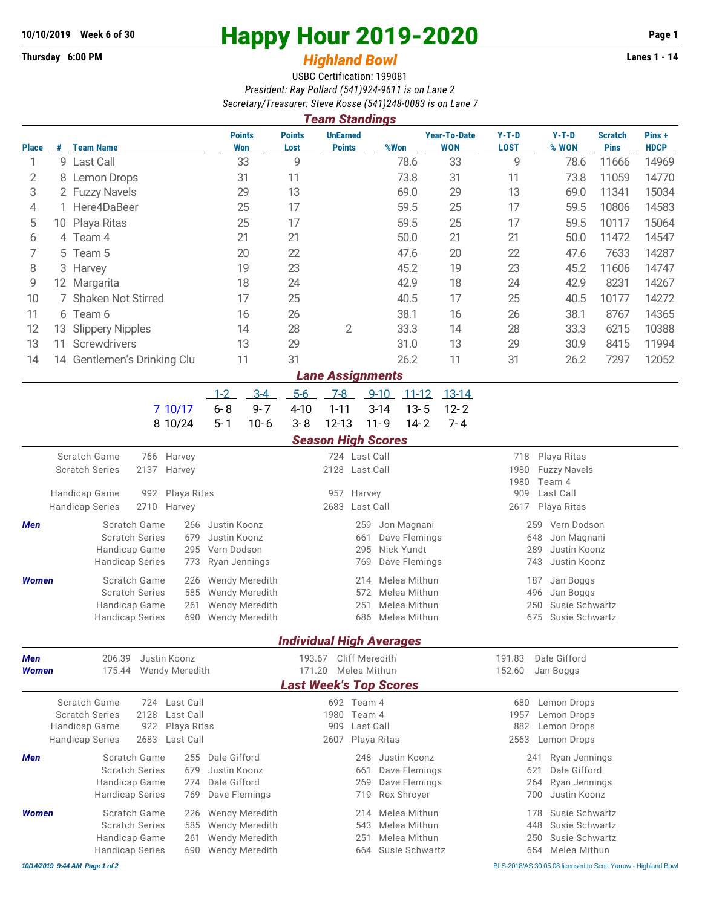## **10/10/2019** Week 6 of 30<br>
Thursday 6:00 PM<br> **Highland Rowl**<br> **Highland Rowl**<br> **Lanes 1 - 14**

## **Thursday 6:00 PM** *Highland Bowl*

USBC Certification: 199081 *President: Ray Pollard (541)924-9611 is on Lane 2 Secretary/Treasurer: Steve Kosse (541)248-0083 is on Lane 7 Team Standings*

|              | ream Standmus |                             |                             |                       |                                  |      |                                   |                        |                  |                               |                      |  |  |
|--------------|---------------|-----------------------------|-----------------------------|-----------------------|----------------------------------|------|-----------------------------------|------------------------|------------------|-------------------------------|----------------------|--|--|
| <b>Place</b> | #             | <b>Team Name</b>            | <b>Points</b><br><b>Won</b> | <b>Points</b><br>Lost | <b>UnEarned</b><br><b>Points</b> | %Won | <b>Year-To-Date</b><br><b>WON</b> | $Y-T-D$<br><b>LOST</b> | $Y-T-D$<br>% WON | <b>Scratch</b><br><b>Pins</b> | Pins+<br><b>HDCP</b> |  |  |
|              |               | 9 Last Call                 | 33                          | 9                     |                                  | 78.6 | 33                                | 9                      | 78.6             | 11666                         | 14969                |  |  |
| 2            |               | 8 Lemon Drops               | 31                          | 11                    |                                  | 73.8 | 31                                | 11                     | 73.8             | 11059                         | 14770                |  |  |
| 3            |               | 2 Fuzzy Navels              | 29                          | 13                    |                                  | 69.0 | 29                                | 13                     | 69.0             | 11341                         | 15034                |  |  |
| 4            |               | 1 Here4DaBeer               | 25                          | 17                    |                                  | 59.5 | 25                                | 17                     | 59.5             | 10806                         | 14583                |  |  |
| 5            |               | 10 Playa Ritas              | 25                          | 17                    |                                  | 59.5 | 25                                | 17                     | 59.5             | 10117                         | 15064                |  |  |
| 6            |               | 4 Team 4                    | 21                          | 21                    |                                  | 50.0 | 21                                | 21                     | 50.0             | 11472                         | 14547                |  |  |
|              |               | 5 Team 5                    | 20                          | 22                    |                                  | 47.6 | 20                                | 22                     | 47.6             | 7633                          | 14287                |  |  |
| 8            |               | 3 Harvey                    | 19                          | 23                    |                                  | 45.2 | 19                                | 23                     | 45.2             | 11606                         | 14747                |  |  |
| 9            |               | 12 Margarita                | 18                          | 24                    |                                  | 42.9 | 18                                | 24                     | 42.9             | 8231                          | 14267                |  |  |
| 10           |               | 7 Shaken Not Stirred        | 17                          | 25                    |                                  | 40.5 | 17                                | 25                     | 40.5             | 10177                         | 14272                |  |  |
| 11           |               | 6 Team 6                    | 16                          | 26                    |                                  | 38.1 | 16                                | 26                     | 38.1             | 8767                          | 14365                |  |  |
| 12           | 13.           | <b>Slippery Nipples</b>     | 14                          | 28                    | $\overline{2}$                   | 33.3 | 14                                | 28                     | 33.3             | 6215                          | 10388                |  |  |
| 13           | 11            | Screwdrivers                | 13                          | 29                    |                                  | 31.0 | 13                                | 29                     | 30.9             | 8415                          | 11994                |  |  |
| 14           |               | 14 Gentlemen's Drinking Clu | 11                          | 31                    |                                  | 26.2 | 11                                | 31                     | 26.2             | 7297                          | 12052                |  |  |
|              |               |                             |                             |                       | <b>Lane Assignments</b>          |      |                                   |                        |                  |                               |                      |  |  |

|                                                 | Lane Assignments |  |  |                                  |  |  |  |  |  |  |  |  |  |  |
|-------------------------------------------------|------------------|--|--|----------------------------------|--|--|--|--|--|--|--|--|--|--|
|                                                 |                  |  |  | 1-2 3-4 5-6 7-8 9-10 11-12 13-14 |  |  |  |  |  |  |  |  |  |  |
| 7 10/17 6-8 9-7 4-10 1-11 3-14 13-5 12-2        |                  |  |  |                                  |  |  |  |  |  |  |  |  |  |  |
| 8 10/24  5-1  10-6  3-8  12-13  11-9  14-2  7-4 |                  |  |  |                                  |  |  |  |  |  |  |  |  |  |  |
|                                                 |                  |  |  | <b>Caseon High Coorpe</b>        |  |  |  |  |  |  |  |  |  |  |

|              | Jedsuli niyii Juules   |                       |             |                       |  |                |                  |     |                       |  |  |  |
|--------------|------------------------|-----------------------|-------------|-----------------------|--|----------------|------------------|-----|-----------------------|--|--|--|
|              | Scratch Game           | 766                   | Harvey      |                       |  | 724 Last Call  |                  |     | 718 Playa Ritas       |  |  |  |
|              | <b>Scratch Series</b>  | 2137                  | Harvey      |                       |  | 2128 Last Call |                  |     | 1980 Fuzzy Navels     |  |  |  |
|              |                        |                       |             |                       |  |                |                  |     | 1980 Team 4           |  |  |  |
|              | Handicap Game<br>992   |                       | Playa Ritas | 957                   |  | Harvey         |                  | 909 | Last Call             |  |  |  |
|              | <b>Handicap Series</b> | 2710                  | Harvey      |                       |  | 2683 Last Call |                  |     | 2617 Playa Ritas      |  |  |  |
| Men          |                        | Scratch Game          |             | 266 Justin Koonz      |  | 259            | Jon Magnani      |     | Vern Dodson<br>259    |  |  |  |
|              |                        | <b>Scratch Series</b> | 679         | Justin Koonz          |  | 661            | Dave Flemings    |     | Jon Magnani<br>648    |  |  |  |
|              | Handicap Game          |                       |             | 295 Vern Dodson       |  |                | 295 Nick Yundt   |     | 289<br>Justin Koonz   |  |  |  |
|              | <b>Handicap Series</b> |                       |             | 773 Ryan Jennings     |  | 769            | Dave Flemings    |     | Justin Koonz<br>743   |  |  |  |
| <b>Women</b> |                        | Scratch Game          | 226         | Wendy Meredith        |  |                | 214 Melea Mithun |     | 187<br>Jan Boggs      |  |  |  |
|              |                        | <b>Scratch Series</b> |             | 585 Wendy Meredith    |  | 572            | Melea Mithun     |     | 496<br>Jan Boggs      |  |  |  |
|              | Handicap Game          |                       | 261         | <b>Wendy Meredith</b> |  | 251            | Melea Mithun     |     | Susie Schwartz<br>250 |  |  |  |
|              | <b>Handicap Series</b> |                       | 690         | Wendy Meredith        |  |                | 686 Melea Mithun |     | Susie Schwartz<br>675 |  |  |  |
|              |                        |                       |             |                       |  |                |                  |     |                       |  |  |  |

## *Individual High Averages*

| Men          | 206.39                         |              | Justin Koonz   |                       | 193.67                        | Cliff Meredith |           |                | 191.83 | Dale Gifford |                                                               |  |
|--------------|--------------------------------|--------------|----------------|-----------------------|-------------------------------|----------------|-----------|----------------|--------|--------------|---------------------------------------------------------------|--|
| <b>Women</b> | 175.44                         |              | Wendy Meredith |                       | 171.20                        | Melea Mithun   |           |                | 152.60 | Jan Boggs    |                                                               |  |
|              |                                |              |                |                       | <b>Last Week's Top Scores</b> |                |           |                |        |              |                                                               |  |
|              | Scratch Game                   | 724          | Last Call      |                       |                               | 692            | Team 4    |                | 680    |              | Lemon Drops                                                   |  |
|              | Scratch Series                 | 2128         | Last Call      |                       |                               | 1980           | Team 4    |                | 1957   |              | Lemon Drops                                                   |  |
|              | Handicap Game                  | 922          | Playa Ritas    |                       |                               | 909            | Last Call |                | 882    |              | Lemon Drops                                                   |  |
|              | <b>Handicap Series</b>         | 2683         | Last Call      |                       | 2607                          |                |           | Playa Ritas    | 2563   |              | Lemon Drops                                                   |  |
| Men          |                                | Scratch Game | 255            | Dale Gifford          |                               |                | 248       | Justin Koonz   |        | 241          | Ryan Jennings                                                 |  |
|              | <b>Scratch Series</b>          |              | 679            | Justin Koonz          |                               |                | 661       | Dave Flemings  |        | 621          | Dale Gifford                                                  |  |
|              | Handicap Game                  |              |                | 274 Dale Gifford      |                               |                | 269       | Dave Flemings  |        | 264          | Ryan Jennings                                                 |  |
|              | <b>Handicap Series</b>         |              | 769            | Dave Flemings         |                               |                | 719       | Rex Shroyer    |        | 700          | Justin Koonz                                                  |  |
| <b>Women</b> |                                | Scratch Game |                | 226 Wendy Meredith    |                               |                | 214       | Melea Mithun   |        | 178          | Susie Schwartz                                                |  |
|              | <b>Scratch Series</b>          |              |                | 585 Wendy Meredith    |                               |                | 543       | Melea Mithun   |        | 448          | Susie Schwartz                                                |  |
|              | Handicap Game                  |              | 261            | <b>Wendy Meredith</b> |                               |                | 251       | Melea Mithun   |        | 250          | Susie Schwartz                                                |  |
|              | <b>Handicap Series</b>         |              | 690            | <b>Wendy Meredith</b> |                               |                | 664       | Susie Schwartz |        | 654          | Melea Mithun                                                  |  |
|              | 10/14/2019 9:44 AM Page 1 of 2 |              |                |                       |                               |                |           |                |        |              | BLS-2018/AS 30.05.08 licensed to Scott Yarrow - Highland Bowl |  |